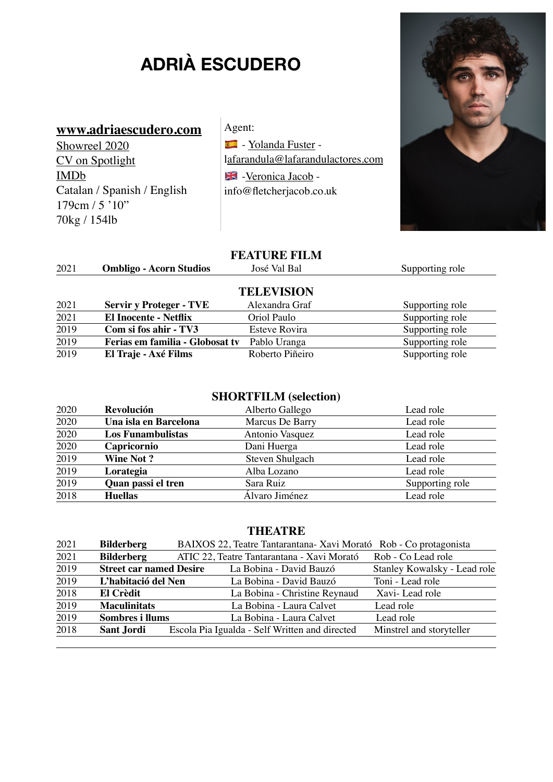# **ADRIÀ ESCUDERO**

### **[www.adriaescudero.com](http://www.adriaescudero.com)**

[Showreel 2020](http://yolandafuster.com/actor/adria-escudero/) [CV on Spotlight](https://www.spotlight.com/artists/default.aspx) [IMDb](https://www.imdb.com/name/nm10943496/?ref_=vp_vi_nm) Catalan / Spanish / English 179cm / 5 '10" 70kg / 154lb

Agent:  $\blacksquare$  - [Yolanda Fuster](http://yolandafuster.com/actor/adria-escudero/) l[afarandula@lafarandulactores.com](mailto:lafarandula@lafarandulactores.com) Veronica Jacob info@fletcherjacob.co.uk

#### **FEATURE FILM**

| 2021 | <b>Ombligo - Acorn Studios</b>  | José Val Bal      | Supporting role |
|------|---------------------------------|-------------------|-----------------|
|      |                                 | <b>TELEVISION</b> |                 |
| 2021 | <b>Servir y Proteger - TVE</b>  | Alexandra Graf    | Supporting role |
| 2021 | <b>El Inocente - Netflix</b>    | Oriol Paulo       | Supporting role |
| 2019 | Com si fos ahir - TV3           | Esteve Rovira     | Supporting role |
| 2019 | Ferias em familia - Globosat tv | Pablo Uranga      | Supporting role |
| 2019 | El Traje - Axé Films            | Roberto Piñeiro   | Supporting role |

## **SHORTFILM (selection)**

| 2020 | Revolución               | Alberto Gallego | Lead role       |
|------|--------------------------|-----------------|-----------------|
| 2020 | Una isla en Barcelona    | Marcus De Barry | Lead role       |
| 2020 | <b>Los Funambulistas</b> | Antonio Vasquez | Lead role       |
| 2020 | Capricornio              | Dani Huerga     | Lead role       |
| 2019 | <b>Wine Not?</b>         | Steven Shulgach | Lead role       |
| 2019 | Lorategia                | Alba Lozano     | Lead role       |
| 2019 | Quan passi el tren       | Sara Ruiz       | Supporting role |
| 2018 | <b>Huellas</b>           | Álvaro Jiménez  | Lead role       |

#### **THEATRE**

| 2021 | <b>Bilderberg</b>              | BAIXOS 22, Teatre Tantarantana-Xavi Morató Rob - Co protagonista |                              |
|------|--------------------------------|------------------------------------------------------------------|------------------------------|
| 2021 | <b>Bilderberg</b>              | ATIC 22, Teatre Tantarantana - Xavi Morató                       | Rob - Co Lead role           |
| 2019 | <b>Street car named Desire</b> | La Bobina - David Bauzó                                          | Stanley Kowalsky - Lead role |
| 2019 | L'habitació del Nen            | La Bobina - David Bauzó                                          | Toni - Lead role             |
| 2018 | El Crèdit                      | La Bobina - Christine Reynaud                                    | Xavi-Lead role               |
| 2019 | <b>Maculinitats</b>            | La Bobina - Laura Calvet                                         | Lead role                    |
| 2019 | Sombres i llums                | La Bobina - Laura Calvet                                         | Lead role                    |
| 2018 | <b>Sant Jordi</b>              | Escola Pia Igualda - Self Written and directed                   | Minstrel and storyteller     |